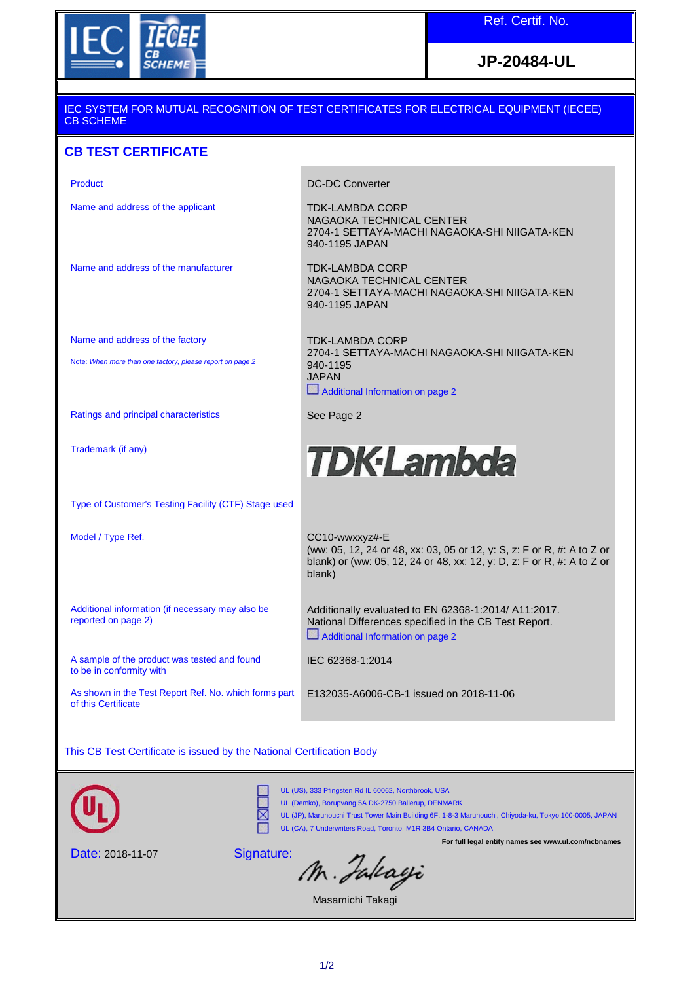

**JP-20484-UL**

## IEC SYSTEM FOR MUTUAL RECOGNITION OF TEST CERTIFICATES FOR ELECTRICAL EQUIPMENT (IECEE) CB SCHEME

## **CB TEST CERTIFICATE**

| Product                                                                      | <b>DC-DC Converter</b>                                                                                                                                                       |
|------------------------------------------------------------------------------|------------------------------------------------------------------------------------------------------------------------------------------------------------------------------|
| Name and address of the applicant                                            | <b>TDK-LAMBDA CORP</b><br>NAGAOKA TECHNICAL CENTER<br>2704-1 SETTAYA-MACHI NAGAOKA-SHI NIIGATA-KEN<br>940-1195 JAPAN                                                         |
| Name and address of the manufacturer                                         | <b>TDK-LAMBDA CORP</b><br>NAGAOKA TECHNICAL CENTER<br>2704-1 SETTAYA-MACHI NAGAOKA-SHI NIIGATA-KEN<br>940-1195 JAPAN                                                         |
| Name and address of the factory                                              | <b>TDK-LAMBDA CORP</b>                                                                                                                                                       |
| Note: When more than one factory, please report on page 2                    | 2704-1 SETTAYA-MACHI NAGAOKA-SHI NIIGATA-KEN<br>940-1195<br><b>JAPAN</b><br>Additional Information on page 2                                                                 |
| Ratings and principal characteristics                                        | See Page 2                                                                                                                                                                   |
| Trademark (if any)                                                           | <b>TDK-Lambda</b>                                                                                                                                                            |
| Type of Customer's Testing Facility (CTF) Stage used                         |                                                                                                                                                                              |
| Model / Type Ref.                                                            | CC10-wwxxyz#-E<br>(ww: 05, 12, 24 or 48, xx: 03, 05 or 12, y: S, z: F or R, #: A to Z or<br>blank) or (ww: 05, 12, 24 or 48, xx: 12, y: D, z: F or R, #: A to Z or<br>blank) |
| Additional information (if necessary may also be<br>reported on page 2)      | Additionally evaluated to EN 62368-1:2014/ A11:2017.<br>National Differences specified in the CB Test Report.<br>Additional Information on page 2                            |
| A sample of the product was tested and found<br>to be in conformity with     | IEC 62368-1:2014                                                                                                                                                             |
| As shown in the Test Report Ref. No. which forms part<br>of this Certificate | E132035-A6006-CB-1 issued on 2018-11-06                                                                                                                                      |

This CB Test Certificate is issued by the National Certification Body



⊠

UL (US), 333 Pfingsten Rd IL 60062, Northbrook, USA

UL (Demko), Borupvang 5A DK-2750 Ballerup, DENMARK

UL (JP), Marunouchi Trust Tower Main Building 6F, 1-8-3 Marunouchi, Chiyoda-ku, Tokyo 100-0005, JAPAN UL (CA), 7 Underwriters Road, Toronto, M1R 3B4 Ontario, CANADA

**For full legal entity names see www.ul.com/ncbnames**

Date: 2018-11-07

Signature:

M. Falcagi

Masamichi Takagi